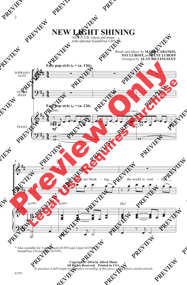## **NEW LIGHT SHINING**

for S.A.T.B. voices and piano with optional SoundTrax CD\*



\* Also available for 3-part mixed (41593) and 2-part (41594). SoundTrax CD available (41595).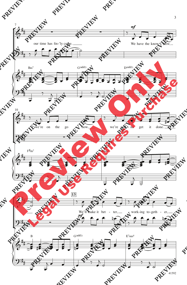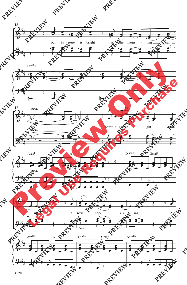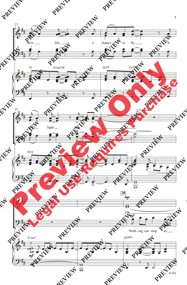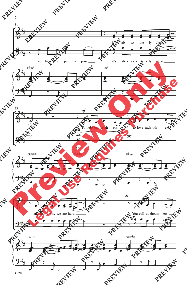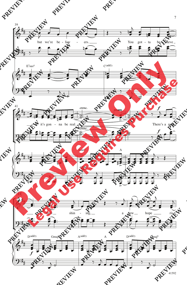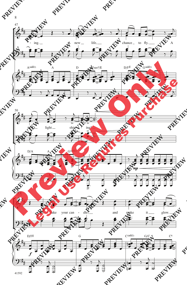![](_page_6_Figure_0.jpeg)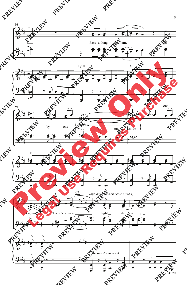![](_page_7_Figure_0.jpeg)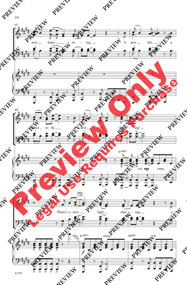![](_page_8_Figure_0.jpeg)